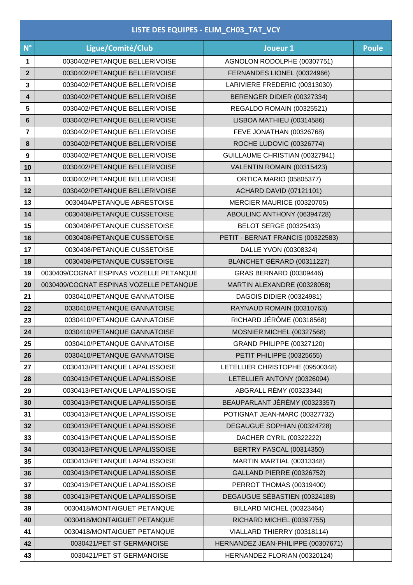| LISTE DES EQUIPES - ELIM_CH03_TAT_VCY |                                         |                                    |              |  |  |
|---------------------------------------|-----------------------------------------|------------------------------------|--------------|--|--|
| $N^{\circ}$                           | Ligue/Comité/Club                       | Joueur 1                           | <b>Poule</b> |  |  |
| 1                                     | 0030402/PETANQUE BELLERIVOISE           | AGNOLON RODOLPHE (00307751)        |              |  |  |
| $\mathbf{2}$                          | 0030402/PETANQUE BELLERIVOISE           | FERNANDES LIONEL (00324966)        |              |  |  |
| 3                                     | 0030402/PETANQUE BELLERIVOISE           | LARIVIERE FREDERIC (00313030)      |              |  |  |
| 4                                     | 0030402/PETANQUE BELLERIVOISE           | BERENGER DIDIER (00327334)         |              |  |  |
| 5                                     | 0030402/PETANQUE BELLERIVOISE           | REGALDO ROMAIN (00325521)          |              |  |  |
| 6                                     | 0030402/PETANQUE BELLERIVOISE           | LISBOA MATHIEU (00314586)          |              |  |  |
| 7                                     | 0030402/PETANQUE BELLERIVOISE           | FEVE JONATHAN (00326768)           |              |  |  |
| 8                                     | 0030402/PETANQUE BELLERIVOISE           | ROCHE LUDOVIC (00326774)           |              |  |  |
| $\boldsymbol{9}$                      | 0030402/PETANQUE BELLERIVOISE           | GUILLAUME CHRISTIAN (00327941)     |              |  |  |
| 10                                    | 0030402/PETANQUE BELLERIVOISE           | VALENTIN ROMAIN (00315423)         |              |  |  |
| 11                                    | 0030402/PETANQUE BELLERIVOISE           | <b>ORTICA MARIO (05805377)</b>     |              |  |  |
| 12                                    | 0030402/PETANQUE BELLERIVOISE           | <b>ACHARD DAVID (07121101)</b>     |              |  |  |
| 13                                    | 0030404/PETANQUE ABRESTOISE             | MERCIER MAURICE (00320705)         |              |  |  |
| 14                                    | 0030408/PETANQUE CUSSETOISE             | ABOULINC ANTHONY (06394728)        |              |  |  |
| 15                                    | 0030408/PETANQUE CUSSETOISE             | <b>BELOT SERGE (00325433)</b>      |              |  |  |
| 16                                    | 0030408/PETANQUE CUSSETOISE             | PETIT - BERNAT FRANCIS (00322583)  |              |  |  |
| 17                                    | 0030408/PETANQUE CUSSETOISE             | DALLE YVON (00308324)              |              |  |  |
| 18                                    | 0030408/PETANQUE CUSSETOISE             | BLANCHET GÉRARD (00311227)         |              |  |  |
| 19                                    | 0030409/COGNAT ESPINAS VOZELLE PETANQUE | GRAS BERNARD (00309446)            |              |  |  |
| 20                                    | 0030409/COGNAT ESPINAS VOZELLE PETANQUE | MARTIN ALEXANDRE (00328058)        |              |  |  |
| 21                                    | 0030410/PETANQUE GANNATOISE             | DAGOIS DIDIER (00324981)           |              |  |  |
| 22                                    | 0030410/PETANQUE GANNATOISE             | RAYNAUD ROMAIN (00310763)          |              |  |  |
| 23                                    | 0030410/PETANQUE GANNATOISE             | RICHARD JÉRÔME (00318568)          |              |  |  |
| 24                                    | 0030410/PETANQUE GANNATOISE             | MOSNIER MICHEL (00327568)          |              |  |  |
| 25                                    | 0030410/PETANQUE GANNATOISE             | GRAND PHILIPPE (00327120)          |              |  |  |
| 26                                    | 0030410/PETANQUE GANNATOISE             | PETIT PHILIPPE (00325655)          |              |  |  |
| 27                                    | 0030413/PETANQUE LAPALISSOISE           | LETELLIER CHRISTOPHE (09500348)    |              |  |  |
| 28                                    | 0030413/PETANQUE LAPALISSOISE           | LETELLIER ANTONY (00326094)        |              |  |  |
| 29                                    | 0030413/PETANQUE LAPALISSOISE           | ABGRALL RÉMY (00323344)            |              |  |  |
| 30                                    | 0030413/PETANQUE LAPALISSOISE           | BEAUPARLANT JÉRÉMY (00323357)      |              |  |  |
| 31                                    | 0030413/PETANQUE LAPALISSOISE           | POTIGNAT JEAN-MARC (00327732)      |              |  |  |
| 32                                    | 0030413/PETANQUE LAPALISSOISE           | DEGAUGUE SOPHIAN (00324728)        |              |  |  |
| 33                                    | 0030413/PETANQUE LAPALISSOISE           | DACHER CYRIL (00322222)            |              |  |  |
| 34                                    | 0030413/PETANQUE LAPALISSOISE           | BERTRY PASCAL (00314350)           |              |  |  |
| 35                                    | 0030413/PETANQUE LAPALISSOISE           | MARTIN MARTIAL (00313348)          |              |  |  |
| 36                                    | 0030413/PETANQUE LAPALISSOISE           | <b>GALLAND PIERRE (00326752)</b>   |              |  |  |
| 37                                    | 0030413/PETANQUE LAPALISSOISE           | PERROT THOMAS (00319400)           |              |  |  |
| 38                                    | 0030413/PETANQUE LAPALISSOISE           | DEGAUGUE SÉBASTIEN (00324188)      |              |  |  |
| 39                                    | 0030418/MONTAIGUET PETANQUE             | BILLARD MICHEL (00323464)          |              |  |  |
| 40                                    | 0030418/MONTAIGUET PETANQUE             | RICHARD MICHEL (00397755)          |              |  |  |
| 41                                    | 0030418/MONTAIGUET PETANQUE             | VIALLARD THIERRY (00318114)        |              |  |  |
| 42                                    | 0030421/PET ST GERMANOISE               | HERNANDEZ JEAN-PHILIPPE (00307671) |              |  |  |
| 43                                    | 0030421/PET ST GERMANOISE               | HERNANDEZ FLORIAN (00320124)       |              |  |  |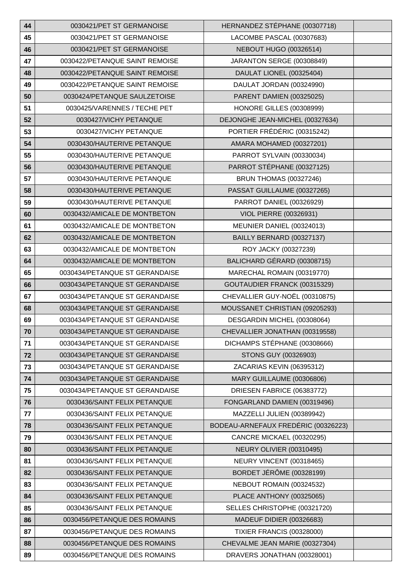| 44 | 0030421/PET ST GERMANOISE      | HERNANDEZ STÉPHANE (00307718)       |  |
|----|--------------------------------|-------------------------------------|--|
| 45 | 0030421/PET ST GERMANOISE      | LACOMBE PASCAL (00307683)           |  |
| 46 | 0030421/PET ST GERMANOISE      | <b>NEBOUT HUGO (00326514)</b>       |  |
| 47 | 0030422/PETANQUE SAINT REMOISE | JARANTON SERGE (00308849)           |  |
| 48 | 0030422/PETANQUE SAINT REMOISE | DAULAT LIONEL (00325404)            |  |
| 49 | 0030422/PETANQUE SAINT REMOISE | DAULAT JORDAN (00324990)            |  |
| 50 | 0030424/PETANQUE SAULZETOISE   | PARENT DAMIEN (00325025)            |  |
| 51 | 0030425/VARENNES / TECHE PET   | <b>HONORE GILLES (00308999)</b>     |  |
| 52 | 0030427/VICHY PETANQUE         | DEJONGHE JEAN-MICHEL (00327634)     |  |
| 53 | 0030427/VICHY PETANQUE         | PORTIER FRÉDÉRIC (00315242)         |  |
| 54 | 0030430/HAUTERIVE PETANQUE     | AMARA MOHAMED (00327201)            |  |
| 55 | 0030430/HAUTERIVE PETANQUE     | PARROT SYLVAIN (00330034)           |  |
| 56 | 0030430/HAUTERIVE PETANQUE     | PARROT STÉPHANE (00327125)          |  |
| 57 | 0030430/HAUTERIVE PETANQUE     | <b>BRUN THOMAS (00327246)</b>       |  |
| 58 | 0030430/HAUTERIVE PETANQUE     | PASSAT GUILLAUME (00327265)         |  |
| 59 | 0030430/HAUTERIVE PETANQUE     | PARROT DANIEL (00326929)            |  |
| 60 | 0030432/AMICALE DE MONTBETON   | <b>VIOL PIERRE (00326931)</b>       |  |
| 61 | 0030432/AMICALE DE MONTBETON   | MEUNIER DANIEL (00324013)           |  |
| 62 | 0030432/AMICALE DE MONTBETON   | BAILLY BERNARD (00327137)           |  |
| 63 | 0030432/AMICALE DE MONTBETON   | ROY JACKY (00327239)                |  |
| 64 | 0030432/AMICALE DE MONTBETON   | BALICHARD GÉRARD (00308715)         |  |
| 65 | 0030434/PETANQUE ST GERANDAISE | MARECHAL ROMAIN (00319770)          |  |
| 66 | 0030434/PETANQUE ST GERANDAISE | GOUTAUDIER FRANCK (00315329)        |  |
| 67 | 0030434/PETANQUE ST GERANDAISE | CHEVALLIER GUY-NOËL (00310875)      |  |
| 68 | 0030434/PETANQUE ST GERANDAISE | MOUSSANET CHRISTIAN (09205293)      |  |
| 69 | 0030434/PETANQUE ST GERANDAISE | DESGARDIN MICHEL (00308064)         |  |
| 70 | 0030434/PETANQUE ST GERANDAISE | CHEVALLIER JONATHAN (00319558)      |  |
| 71 | 0030434/PETANQUE ST GERANDAISE | DICHAMPS STÉPHANE (00308666)        |  |
| 72 | 0030434/PETANQUE ST GERANDAISE | STONS GUY (00326903)                |  |
| 73 | 0030434/PETANQUE ST GERANDAISE | ZACARIAS KEVIN (06395312)           |  |
| 74 | 0030434/PETANQUE ST GERANDAISE | MARY GUILLAUME (00306806)           |  |
| 75 | 0030434/PETANQUE ST GERANDAISE | DRIESEN FABRICE (06383772)          |  |
| 76 | 0030436/SAINT FELIX PETANQUE   | FONGARLAND DAMIEN (00319496)        |  |
| 77 | 0030436/SAINT FELIX PETANQUE   | MAZZELLI JULIEN (00389942)          |  |
| 78 | 0030436/SAINT FELIX PETANQUE   | BODEAU-ARNEFAUX FREDÉRIC (00326223) |  |
| 79 | 0030436/SAINT FELIX PETANQUE   | CANCRE MICKAEL (00320295)           |  |
| 80 | 0030436/SAINT FELIX PETANQUE   | NEURY OLIVIER (00310495)            |  |
| 81 | 0030436/SAINT FELIX PETANQUE   | NEURY VINCENT (00318465)            |  |
| 82 | 0030436/SAINT FELIX PETANQUE   | BORDET JÉRÔME (00328199)            |  |
| 83 | 0030436/SAINT FELIX PETANQUE   | NEBOUT ROMAIN (00324532)            |  |
| 84 | 0030436/SAINT FELIX PETANQUE   | PLACE ANTHONY (00325065)            |  |
| 85 | 0030436/SAINT FELIX PETANQUE   | SELLES CHRISTOPHE (00321720)        |  |
| 86 | 0030456/PETANQUE DES ROMAINS   | MADEUF DIDIER (00326683)            |  |
| 87 | 0030456/PETANQUE DES ROMAINS   | <b>TIXIER FRANCIS (00328000)</b>    |  |
| 88 | 0030456/PETANQUE DES ROMAINS   | CHEVALME JEAN MARIE (00327304)      |  |
| 89 | 0030456/PETANQUE DES ROMAINS   | DRAVERS JONATHAN (00328001)         |  |